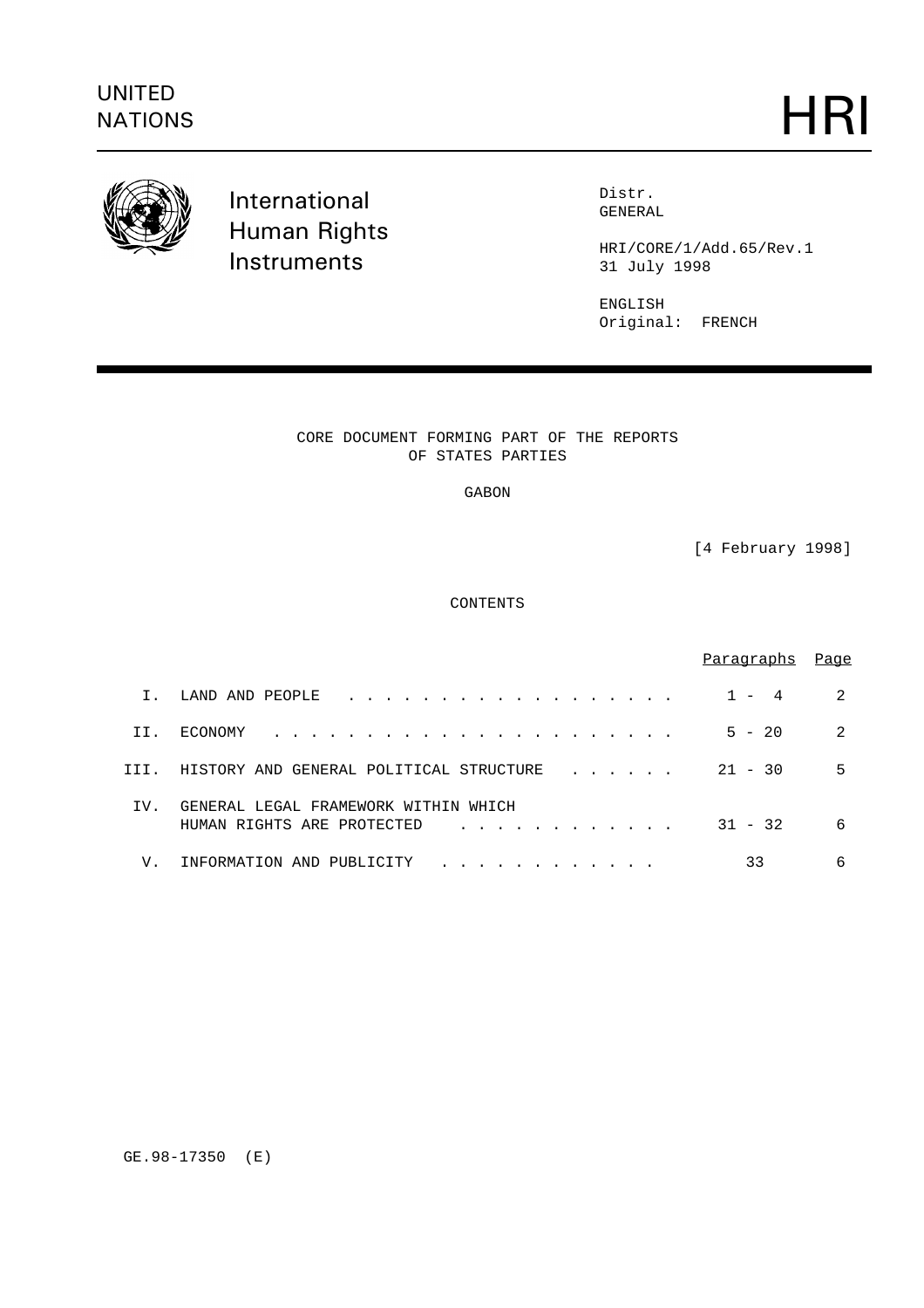

International Human Rights **Instruments** 

Distr. GENERAL

HRI/CORE/1/Add.65/Rev.1 31 July 1998

ENGLISH Original: FRENCH

CORE DOCUMENT FORMING PART OF THE REPORTS OF STATES PARTIES

GABON

[4 February 1998]

CONTENTS

|      |                                                                       | Paragraphs                    | Page |
|------|-----------------------------------------------------------------------|-------------------------------|------|
| Ι.   | LAND AND PEOPLE                                                       | 4<br>$\overline{\phantom{0}}$ | 2    |
| II.  | ECONOMY                                                               | $5 - 20$                      | 2    |
| III. | HISTORY AND GENERAL POLITICAL STRUCTURE                               | $21 - 30$                     | 5    |
| IV.  | GENERAL LEGAL FRAMEWORK WITHIN<br>WHTCH<br>HUMAN RIGHTS ARE PROTECTED | $31 - 32$                     | 6    |
| V.   | INFORMATION AND<br>PUBLICITY                                          | 33                            | 6    |

GE.98-17350 (E)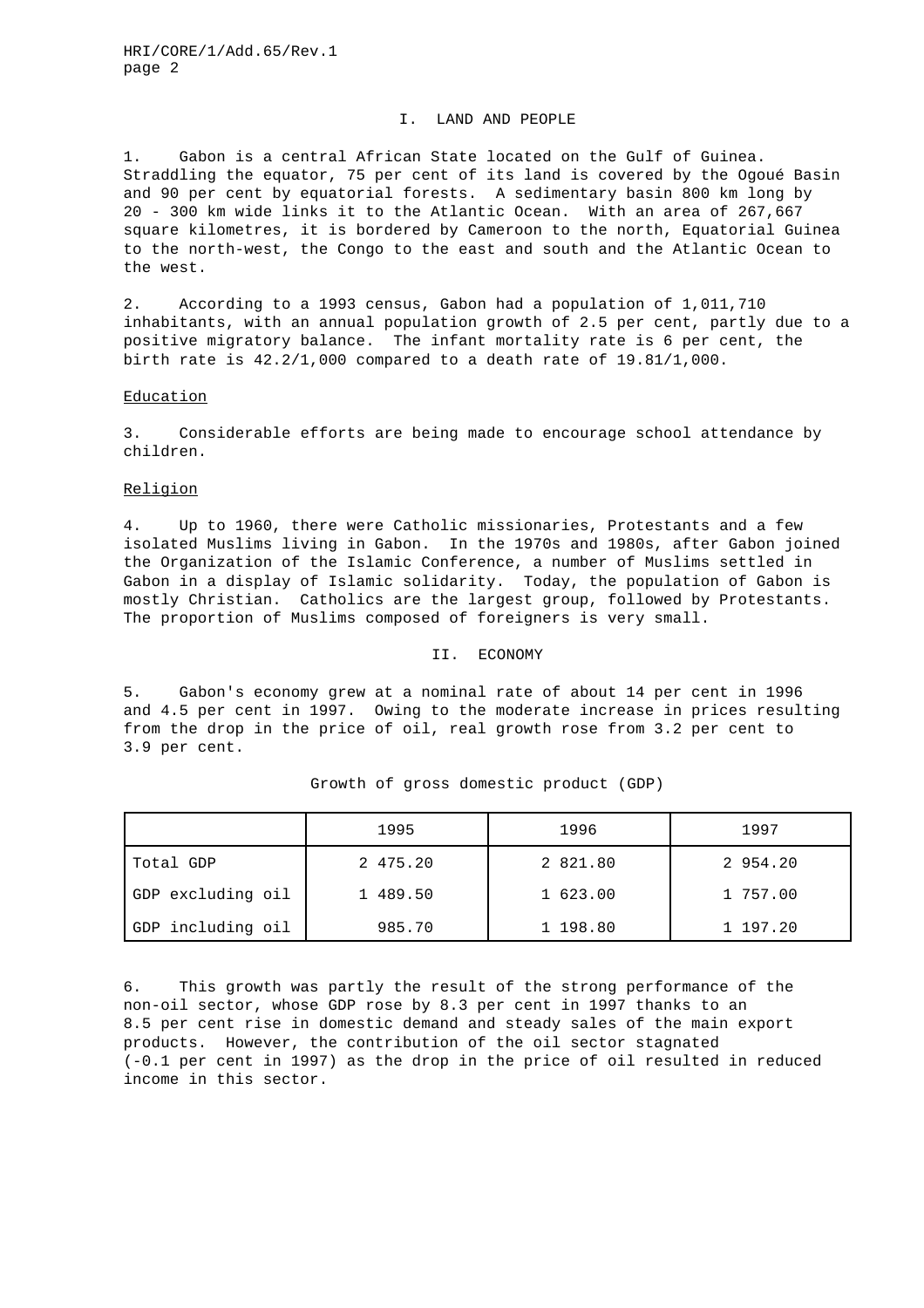### I. LAND AND PEOPLE

1. Gabon is a central African State located on the Gulf of Guinea. Straddling the equator, 75 per cent of its land is covered by the Ogoué Basin and 90 per cent by equatorial forests. A sedimentary basin 800 km long by 20 - 300 km wide links it to the Atlantic Ocean. With an area of 267,667 square kilometres, it is bordered by Cameroon to the north, Equatorial Guinea to the north-west, the Congo to the east and south and the Atlantic Ocean to the west.

2. According to a 1993 census, Gabon had a population of 1,011,710 inhabitants, with an annual population growth of 2.5 per cent, partly due to a positive migratory balance. The infant mortality rate is 6 per cent, the birth rate is 42.2/1,000 compared to a death rate of 19.81/1,000.

### **Education**

3. Considerable efforts are being made to encourage school attendance by children.

# Religion

4. Up to 1960, there were Catholic missionaries, Protestants and a few isolated Muslims living in Gabon. In the 1970s and 1980s, after Gabon joined the Organization of the Islamic Conference, a number of Muslims settled in Gabon in a display of Islamic solidarity. Today, the population of Gabon is mostly Christian. Catholics are the largest group, followed by Protestants. The proportion of Muslims composed of foreigners is very small.

### II. ECONOMY

5. Gabon's economy grew at a nominal rate of about 14 per cent in 1996 and 4.5 per cent in 1997. Owing to the moderate increase in prices resulting from the drop in the price of oil, real growth rose from 3.2 per cent to 3.9 per cent.

|                   | 1995     | 1996     | 1997     |
|-------------------|----------|----------|----------|
| Total GDP         | 2 475.20 | 2 821.80 | 2 954.20 |
| GDP excluding oil | 1 489.50 | 1 623.00 | 1 757.00 |
| GDP including oil | 985.70   | 1 198.80 | 1 197.20 |

#### Growth of gross domestic product (GDP)

6. This growth was partly the result of the strong performance of the non-oil sector, whose GDP rose by 8.3 per cent in 1997 thanks to an 8.5 per cent rise in domestic demand and steady sales of the main export products. However, the contribution of the oil sector stagnated (-0.1 per cent in 1997) as the drop in the price of oil resulted in reduced income in this sector.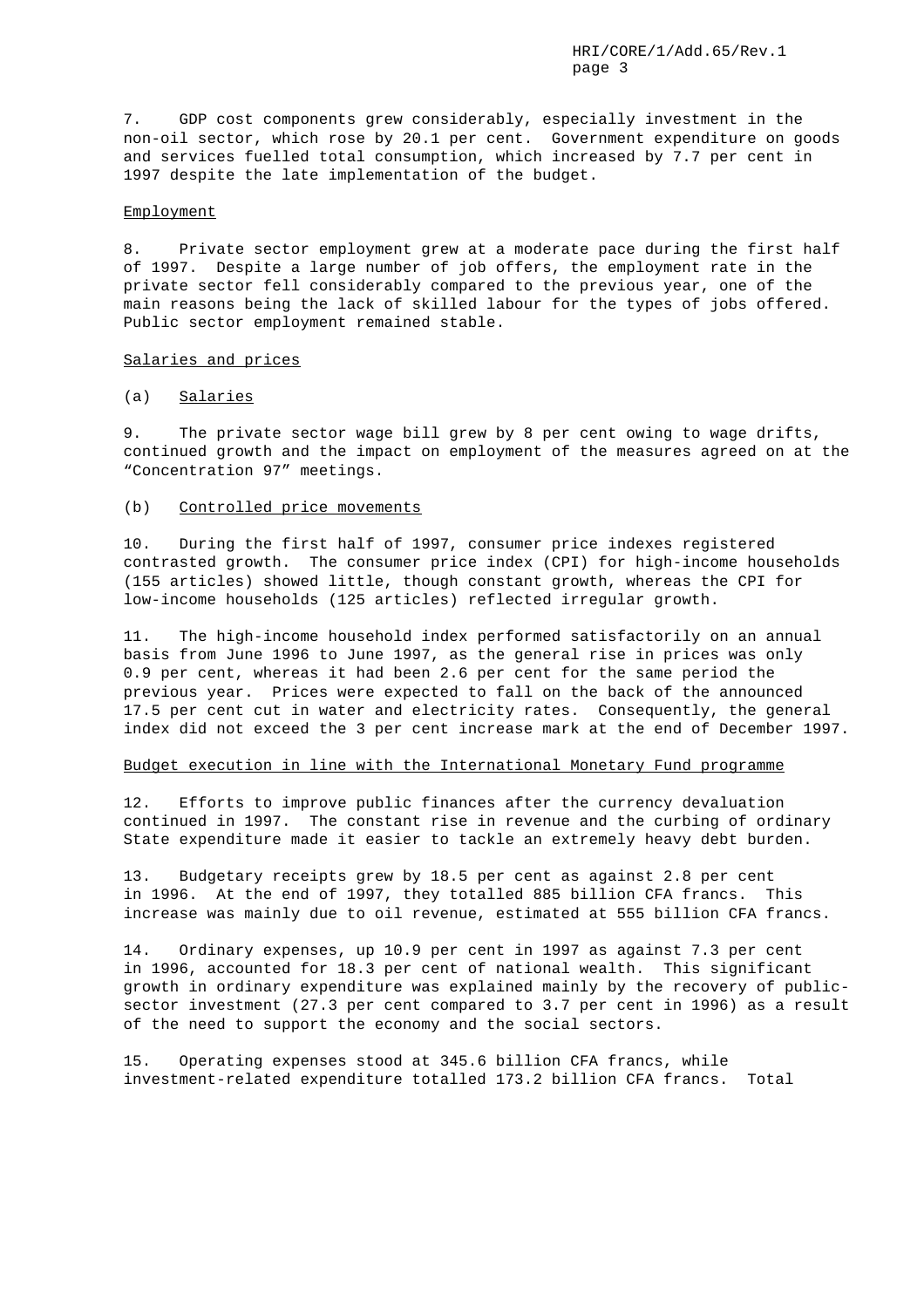7. GDP cost components grew considerably, especially investment in the non-oil sector, which rose by 20.1 per cent. Government expenditure on goods and services fuelled total consumption, which increased by 7.7 per cent in 1997 despite the late implementation of the budget.

### Employment

8. Private sector employment grew at a moderate pace during the first half of 1997. Despite a large number of job offers, the employment rate in the private sector fell considerably compared to the previous year, one of the main reasons being the lack of skilled labour for the types of jobs offered. Public sector employment remained stable.

# Salaries and prices

# (a) Salaries

9. The private sector wage bill grew by 8 per cent owing to wage drifts, continued growth and the impact on employment of the measures agreed on at the "Concentration 97" meetings.

### (b) Controlled price movements

10. During the first half of 1997, consumer price indexes registered contrasted growth. The consumer price index (CPI) for high-income households (155 articles) showed little, though constant growth, whereas the CPI for low-income households (125 articles) reflected irregular growth.

11. The high-income household index performed satisfactorily on an annual basis from June 1996 to June 1997, as the general rise in prices was only 0.9 per cent, whereas it had been 2.6 per cent for the same period the previous year. Prices were expected to fall on the back of the announced 17.5 per cent cut in water and electricity rates. Consequently, the general index did not exceed the 3 per cent increase mark at the end of December 1997.

### Budget execution in line with the International Monetary Fund programme

12. Efforts to improve public finances after the currency devaluation continued in 1997. The constant rise in revenue and the curbing of ordinary State expenditure made it easier to tackle an extremely heavy debt burden.

13. Budgetary receipts grew by 18.5 per cent as against 2.8 per cent in 1996. At the end of 1997, they totalled 885 billion CFA francs. This increase was mainly due to oil revenue, estimated at 555 billion CFA francs.

14. Ordinary expenses, up 10.9 per cent in 1997 as against 7.3 per cent in 1996, accounted for 18.3 per cent of national wealth. This significant growth in ordinary expenditure was explained mainly by the recovery of publicsector investment (27.3 per cent compared to 3.7 per cent in 1996) as a result of the need to support the economy and the social sectors.

15. Operating expenses stood at 345.6 billion CFA francs, while investment-related expenditure totalled 173.2 billion CFA francs. Total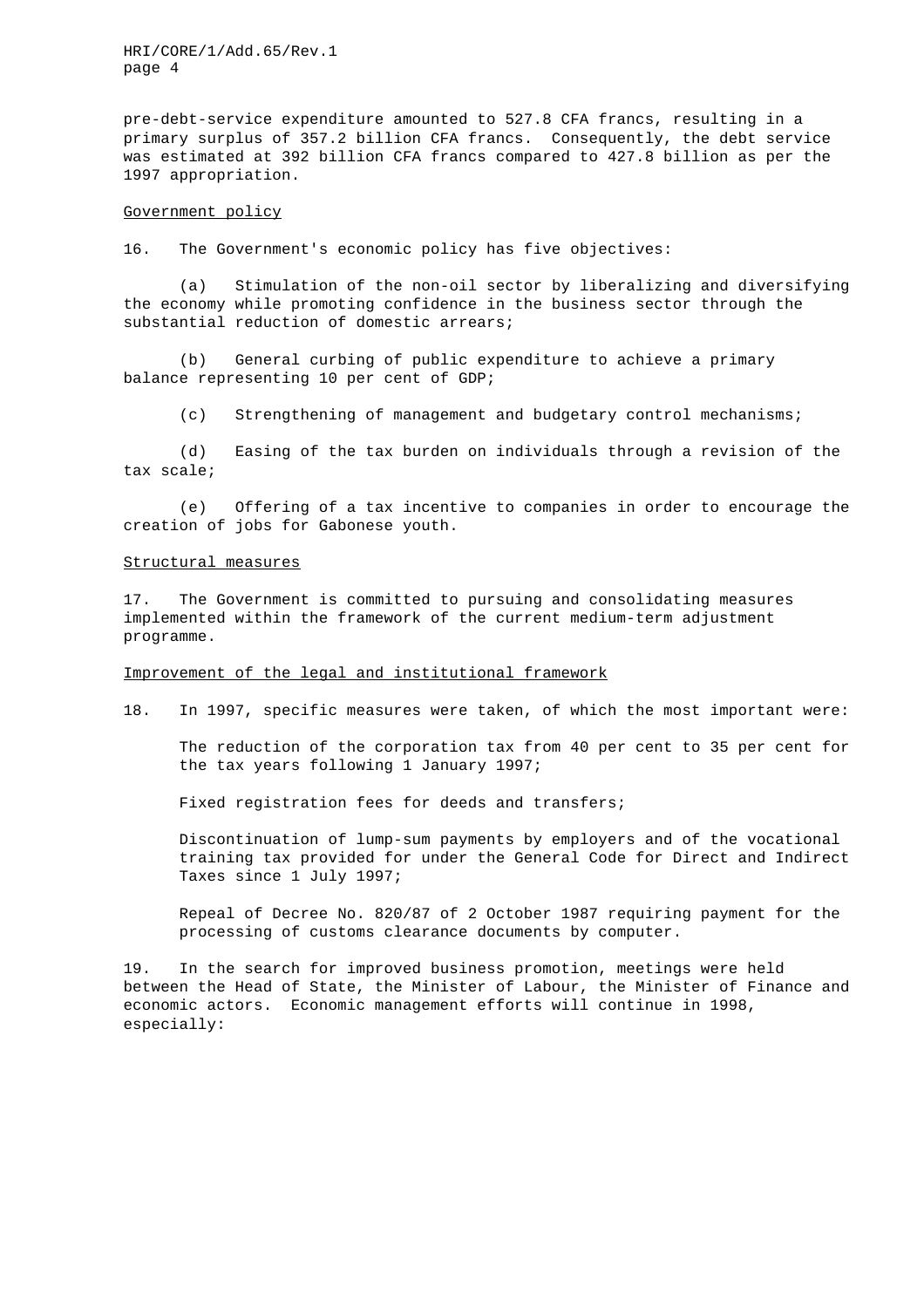HRI/CORE/1/Add.65/Rev.1 page 4

pre-debt-service expenditure amounted to 527.8 CFA francs, resulting in a primary surplus of 357.2 billion CFA francs. Consequently, the debt service was estimated at 392 billion CFA francs compared to 427.8 billion as per the 1997 appropriation.

#### Government policy

16. The Government's economic policy has five objectives:

(a) Stimulation of the non-oil sector by liberalizing and diversifying the economy while promoting confidence in the business sector through the substantial reduction of domestic arrears;

(b) General curbing of public expenditure to achieve a primary balance representing 10 per cent of GDP;

(c) Strengthening of management and budgetary control mechanisms;

(d) Easing of the tax burden on individuals through a revision of the tax scale;

(e) Offering of a tax incentive to companies in order to encourage the creation of jobs for Gabonese youth.

### Structural measures

17. The Government is committed to pursuing and consolidating measures implemented within the framework of the current medium-term adjustment programme.

### Improvement of the legal and institutional framework

18. In 1997, specific measures were taken, of which the most important were:

The reduction of the corporation tax from 40 per cent to 35 per cent for the tax years following 1 January 1997;

Fixed registration fees for deeds and transfers;

Discontinuation of lump-sum payments by employers and of the vocational training tax provided for under the General Code for Direct and Indirect Taxes since 1 July 1997;

Repeal of Decree No. 820/87 of 2 October 1987 requiring payment for the processing of customs clearance documents by computer.

19. In the search for improved business promotion, meetings were held between the Head of State, the Minister of Labour, the Minister of Finance and economic actors. Economic management efforts will continue in 1998, especially: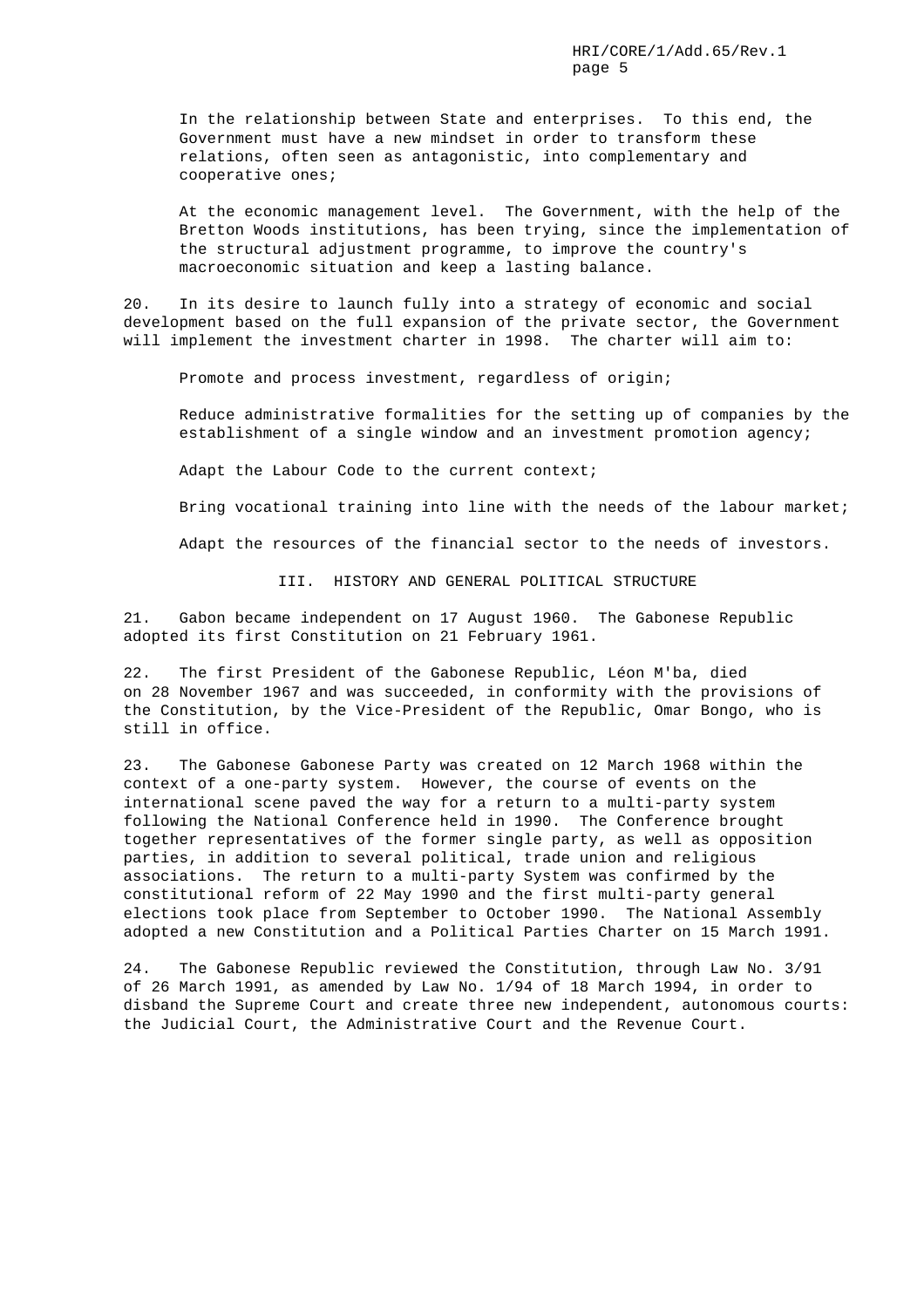In the relationship between State and enterprises. To this end, the Government must have a new mindset in order to transform these relations, often seen as antagonistic, into complementary and cooperative ones;

At the economic management level. The Government, with the help of the Bretton Woods institutions, has been trying, since the implementation of the structural adjustment programme, to improve the country's macroeconomic situation and keep a lasting balance.

20. In its desire to launch fully into a strategy of economic and social development based on the full expansion of the private sector, the Government will implement the investment charter in 1998. The charter will aim to:

Promote and process investment, regardless of origin;

Reduce administrative formalities for the setting up of companies by the establishment of a single window and an investment promotion agency;

Adapt the Labour Code to the current context;

Bring vocational training into line with the needs of the labour market;

Adapt the resources of the financial sector to the needs of investors.

III. HISTORY AND GENERAL POLITICAL STRUCTURE

21. Gabon became independent on 17 August 1960. The Gabonese Republic adopted its first Constitution on 21 February 1961.

22. The first President of the Gabonese Republic, Léon M'ba, died on 28 November 1967 and was succeeded, in conformity with the provisions of the Constitution, by the Vice-President of the Republic, Omar Bongo, who is still in office.

23. The Gabonese Gabonese Party was created on 12 March 1968 within the context of a one-party system. However, the course of events on the international scene paved the way for a return to a multi-party system following the National Conference held in 1990. The Conference brought together representatives of the former single party, as well as opposition parties, in addition to several political, trade union and religious associations. The return to a multi-party System was confirmed by the constitutional reform of 22 May 1990 and the first multi-party general elections took place from September to October 1990. The National Assembly adopted a new Constitution and a Political Parties Charter on 15 March 1991.

24. The Gabonese Republic reviewed the Constitution, through Law No. 3/91 of 26 March 1991, as amended by Law No. 1/94 of 18 March 1994, in order to disband the Supreme Court and create three new independent, autonomous courts: the Judicial Court, the Administrative Court and the Revenue Court.